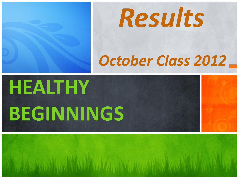

## *October Class 2012*

# **HEALTHY BEGINNINGS**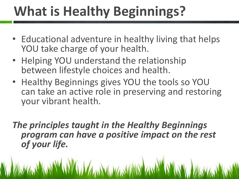### **What is Healthy Beginnings?**

- Educational adventure in healthy living that helps YOU take charge of your health.
- Helping YOU understand the relationship between lifestyle choices and health.
- Healthy Beginnings gives YOU the tools so YOU can take an active role in preserving and restoring your vibrant health.

*The principles taught in the Healthy Beginnings program can have a positive impact on the rest of your life.*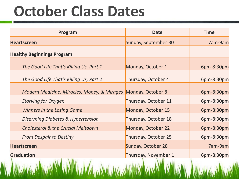### **October Class Dates**

| Program                                                       | <b>Date</b>          | <b>Time</b>  |
|---------------------------------------------------------------|----------------------|--------------|
| <b>Heartscreen</b>                                            | Sunday, September 30 | 7am-9am      |
| <b>Healthy Beginnings Program</b>                             |                      |              |
| The Good Life That's Killing Us, Part 1                       | Monday, October 1    | $6pm-8:30pm$ |
| The Good Life That's Killing Us, Part 2                       | Thursday, October 4  | $6pm-8:30pm$ |
| Modern Medicine: Miracles, Money, & Mirages Monday, October 8 |                      | 6pm-8:30pm   |
| <b>Starving for Oxygen</b>                                    | Thursday, October 11 | $6pm-8:30pm$ |
| <b>Winners in the Losing Game</b>                             | Monday, October 15   | $6pm-8:30pm$ |
| Disarming Diabetes & Hypertension                             | Thursday, October 18 | $6pm-8:30pm$ |
| <b>Cholesterol &amp; the Crucial Meltdown</b>                 | Monday, October 22   | $6pm-8:30pm$ |
| <b>From Despair to Destiny</b>                                | Thursday, October 25 | $6pm-8:30pm$ |
| <b>Heartscreen</b>                                            | Sunday, October 28   | 7am-9am      |
| Graduation<br><b><i>Martin Street</i></b>                     | Thursday, November 1 | 6pm-8:30pm   |

**AN MARKA ANGELIA NG KATITAN NG PANANG NG PANANG NG KATITANG NG KATITANG NG KATITANG NG KATITANG NG KATITANG NG**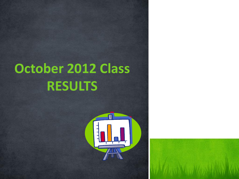## **October 2012 Class RESULTS**



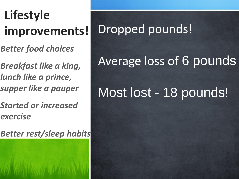### **Lifestyle improvements!**

- *Better food choices*
- *Breakfast like a king, lunch like a prince, supper like a pauper*
- *Started or increased exercise*
- *Better rest/sleep habits*

### Dropped pounds!

## Average loss of 6 pounds Most lost - 18 pounds!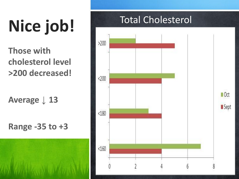## **Nice job!**

**Those with cholesterol level >200 decreased!**

**Average ↓ 13**

**Range -35 to +3**

#### Total Cholesterol

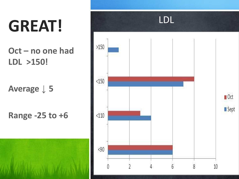## **GREAT!**

**Oct – no one had LDL >150!**

**Average ↓ 5**

**Range -25 to +6**

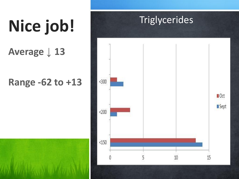## Nice job!

#### Average  $\downarrow$  13

#### Range -62 to +13

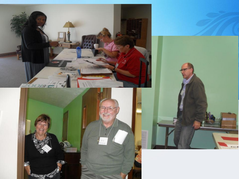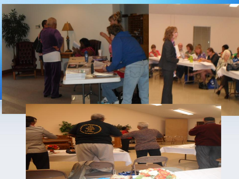![](_page_9_Picture_0.jpeg)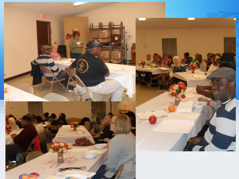![](_page_10_Picture_0.jpeg)